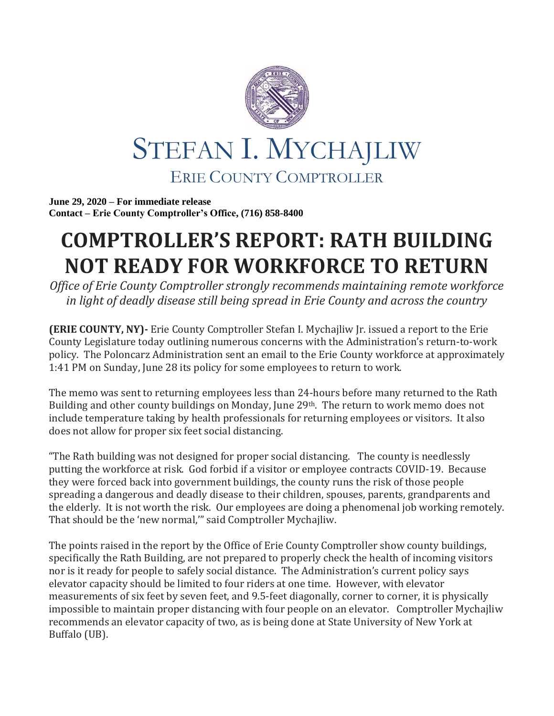

**June 29, 2020 – For immediate release Contact – Erie County Comptroller's Office, (716) 858-8400**

## **COMPTROLLER'S REPORT: RATH BUILDING NOT READY FOR WORKFORCE TO RETURN**

*Office of Erie County Comptroller strongly recommends maintaining remote workforce in light of deadly disease still being spread in Erie County and across the country*

**(ERIE COUNTY, NY)-** Erie County Comptroller Stefan I. Mychajliw Jr. issued a report to the Erie County Legislature today outlining numerous concerns with the Administration's return-to-work policy. The Poloncarz Administration sent an email to the Erie County workforce at approximately 1:41 PM on Sunday, June 28 its policy for some employees to return to work.

The memo was sent to returning employees less than 24-hours before many returned to the Rath Building and other county buildings on Monday, June 29th. The return to work memo does not include temperature taking by health professionals for returning employees or visitors. It also does not allow for proper six feet social distancing.

"The Rath building was not designed for proper social distancing. The county is needlessly putting the workforce at risk. God forbid if a visitor or employee contracts COVID-19. Because they were forced back into government buildings, the county runs the risk of those people spreading a dangerous and deadly disease to their children, spouses, parents, grandparents and the elderly. It is not worth the risk. Our employees are doing a phenomenal job working remotely. That should be the 'new normal,'" said Comptroller Mychajliw.

The points raised in the report by the Office of Erie County Comptroller show county buildings, specifically the Rath Building, are not prepared to properly check the health of incoming visitors nor is it ready for people to safely social distance. The Administration's current policy says elevator capacity should be limited to four riders at one time. However, with elevator measurements of six feet by seven feet, and 9.5-feet diagonally, corner to corner, it is physically impossible to maintain proper distancing with four people on an elevator. Comptroller Mychajliw recommends an elevator capacity of two, as is being done at State University of New York at Buffalo (UB).